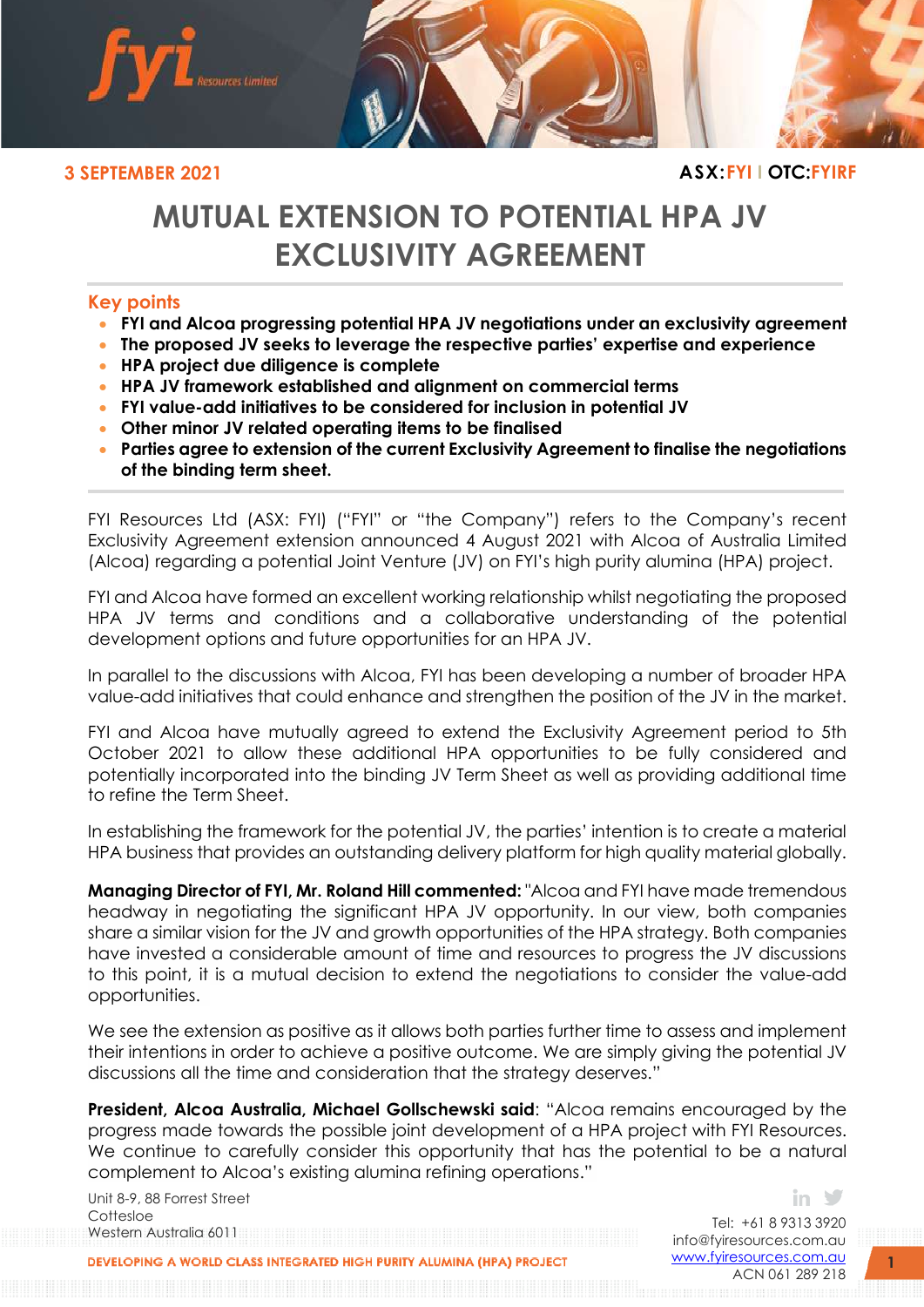

# **MUTUAL EXTENSION TO POTENTIAL HPA JV EXCLUSIVITY AGREEMENT**

## **Key points**

- **FYI and Alcoa progressing potential HPA JV negotiations under an exclusivity agreement**
- **The proposed JV seeks to leverage the respective parties' expertise and experience**
- **HPA project due diligence is complete**
- **HPA JV framework established and alignment on commercial terms**
- **FYI value-add initiatives to be considered for inclusion in potential JV**
- **Other minor JV related operating items to be finalised**
- **Parties agree to extension of the current Exclusivity Agreement to finalise the negotiations of the binding term sheet.**

FYI Resources Ltd (ASX: FYI) ("FYI" or "the Company") refers to the Company's recent Exclusivity Agreement extension announced 4 August 2021 with Alcoa of Australia Limited (Alcoa) regarding a potential Joint Venture (JV) on FYI's high purity alumina (HPA) project.

FYI and Alcoa have formed an excellent working relationship whilst negotiating the proposed HPA JV terms and conditions and a collaborative understanding of the potential development options and future opportunities for an HPA JV.

In parallel to the discussions with Alcoa, FYI has been developing a number of broader HPA value-add initiatives that could enhance and strengthen the position of the JV in the market.

FYI and Alcoa have mutually agreed to extend the Exclusivity Agreement period to 5th October 2021 to allow these additional HPA opportunities to be fully considered and potentially incorporated into the binding JV Term Sheet as well as providing additional time to refine the Term Sheet.

In establishing the framework for the potential JV, the parties' intention is to create a material HPA business that provides an outstanding delivery platform for high quality material globally.

**Managing Director of FYI, Mr. Roland Hill commented:** "Alcoa and FYI have made tremendous headway in negotiating the significant HPA JV opportunity. In our view, both companies share a similar vision for the JV and growth opportunities of the HPA strategy. Both companies have invested a considerable amount of time and resources to progress the JV discussions to this point, it is a mutual decision to extend the negotiations to consider the value-add opportunities.

We see the extension as positive as it allows both parties further time to assess and implement their intentions in order to achieve a positive outcome. We are simply giving the potential JV discussions all the time and consideration that the strategy deserves."

**President, Alcoa Australia, Michael Gollschewski said**: "Alcoa remains encouraged by the progress made towards the possible joint development of a HPA project with FYI Resources. We continue to carefully consider this opportunity that has the potential to be a natural complement to Alcoa's existing alumina refining operations."

Unit 8-9, 88 Forrest Street Cottesloe Western Australia 6011

Tel: +61 8 9313 3920 [info@fyiresources.com.au](mailto:info@fyiresources.com.au) [www.fyiresources.com.au](mailto:https://www.fyiresources.com.au/) ACN 061 289 218

in.

DEVELOPING A WORLD CLASS INTEGRATED HIGH PURITY ALUMINA (HPA) PROJECT